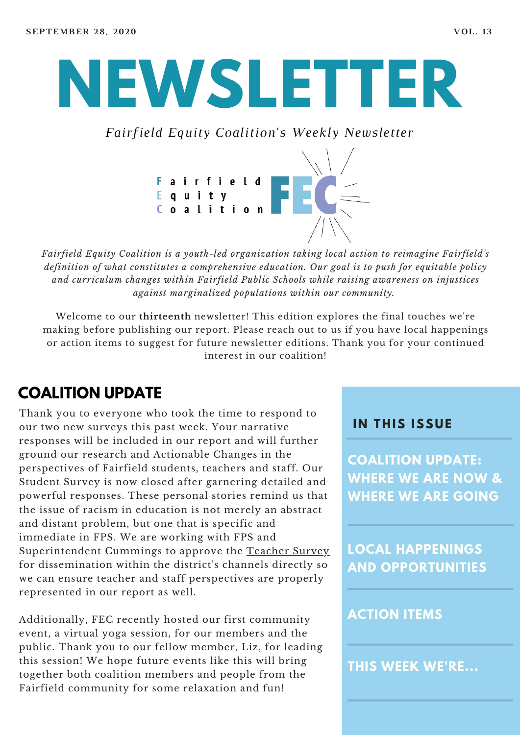# **NEWSLETTER**

*Fairfield Equity Coalition's Weekly Newsletter*



*Fairfield Equity Coalition is a youth-led organization taking local action to reimagine Fairfield's definition of what constitutes a comprehensive education. Our goal is to push for equitable policy and curriculum changes within Fairfield Public Schools while raising awareness on injustices against marginalized populations within our community.*

Welcome to our **thirteenth** newsletter! This edition explores the final touches we're making before publishing our report. Please reach out to us if you have local happenings or action items to suggest for future newsletter editions. Thank you for your continued interest in our coalition!

## **COALITION UPDATE**

Thank you to everyone who took the time to respond to our two new surveys this past week. Your narrative responses will be included in our report and will further ground our research and Actionable Changes in the perspectives of Fairfield students, teachers and staff. Our Student Survey is now closed after garnering detailed and powerful responses. These personal stories remind us that the issue of racism in education is not merely an abstract and distant problem, but one that is specific and immediate in FPS. We are working with FPS and Superintendent Cummings to approve the [Teacher](https://docs.google.com/forms/d/e/1FAIpQLSdifQJcebGw4SBDf0-HPtaQuekBZpXhW8dZB85auYQIkE7g0A/viewform) Survey for dissemination within the district's channels directly so we can ensure teacher and staff perspectives are properly represented in our report as well.

Additionally, FEC recently hosted our first community event, a virtual yoga session, for our members and the public. Thank you to our fellow member, Liz, for leading this session! We hope future events like this will bring together both coalition members and people from the Fairfield community for some relaxation and fun!

#### **I N THIS ISSUE**

**COALITION UPDATE: WHERE WE ARE NOW & WHERE WE ARE GOING**

**LOCAL HAPPENINGS AND OPPORTUNITIES**

#### **ACTION ITEMS**

**THIS WEEK WE'RE...**